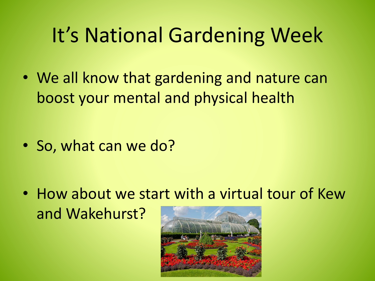## It's National Gardening Week

• We all know that gardening and nature can boost your mental and physical health

• So, what can we do?

• How about we start with a virtual tour of Kew and Wakehurst?

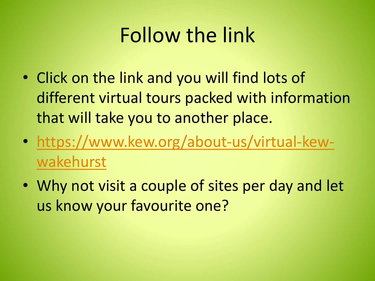### Follow the link

- Click on the link and you will find lots of different virtual tours packed with information that will take you to another place.
- [https://www.kew.org/about-us/virtual-kew](https://www.kew.org/about-us/virtual-kew-wakehurst)wakehurst
- Why not visit a couple of sites per day and let us know your favourite one?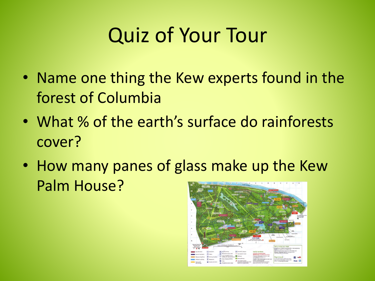# Quiz of Your Tour

- Name one thing the Kew experts found in the forest of Columbia
- What % of the earth's surface do rainforests cover?
- How many panes of glass make up the Kew Palm House?

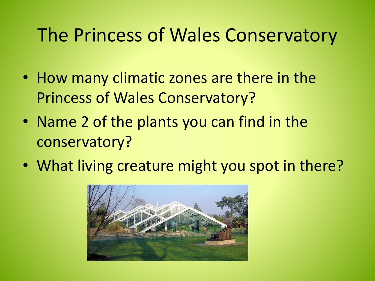#### The Princess of Wales Conservatory

- How many climatic zones are there in the Princess of Wales Conservatory?
- Name 2 of the plants you can find in the conservatory?
- What living creature might you spot in there?